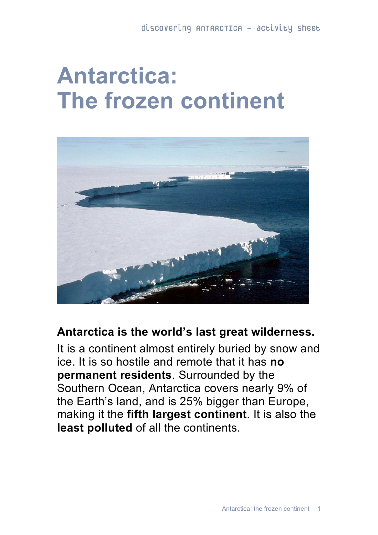## **Antarctica: The frozen continent**



## **Antarctica is the world's last great wilderness.**

It is a continent almost entirely buried by snow and ice. It is so hostile and remote that it has **no permanent residents**. Surrounded by the Southern Ocean, Antarctica covers nearly 9% of the Earth's land, and is 25% bigger than Europe, making it the **fifth largest continent**. It is also the **least polluted** of all the continents.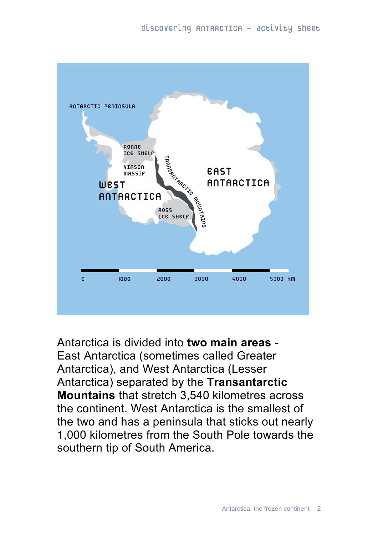

Antarctica is divided into **two main areas** - East Antarctica (sometimes called Greater Antarctica), and West Antarctica (Lesser Antarctica) separated by the **Transantarctic Mountains** that stretch 3,540 kilometres across the continent. West Antarctica is the smallest of the two and has a peninsula that sticks out nearly 1,000 kilometres from the South Pole towards the southern tip of South America.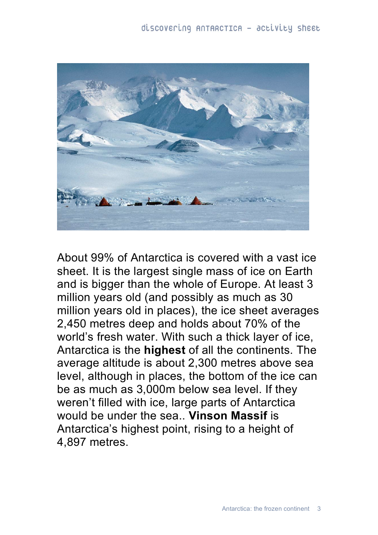

About 99% of Antarctica is covered with a vast ice sheet. It is the largest single mass of ice on Earth and is bigger than the whole of Europe. At least 3 million years old (and possibly as much as 30 million years old in places), the ice sheet averages 2,450 metres deep and holds about 70% of the world's fresh water. With such a thick layer of ice, Antarctica is the **highest** of all the continents. The average altitude is about 2,300 metres above sea level, although in places, the bottom of the ice can be as much as 3,000m below sea level. If they weren't filled with ice, large parts of Antarctica would be under the sea.. **Vinson Massif** is Antarctica's highest point, rising to a height of 4,897 metres.